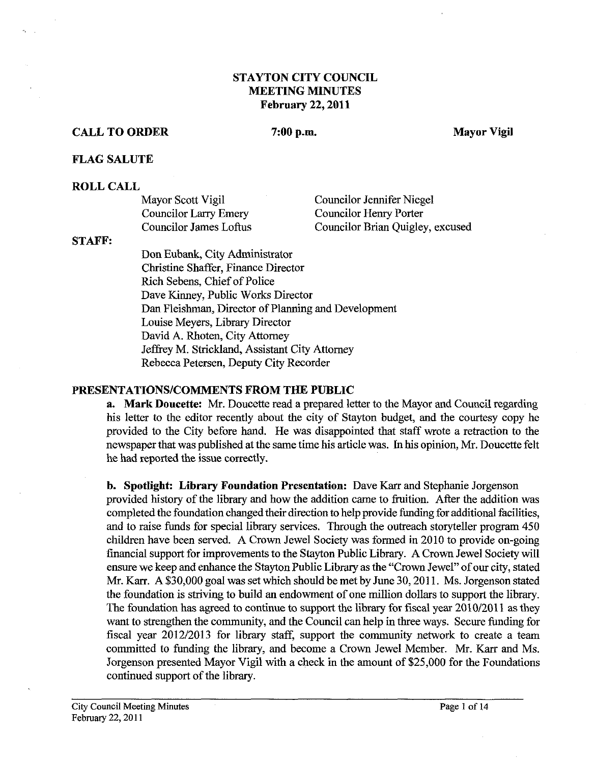### **STAYTON CITY COUNCIL MEETING MINUTES February 22,2011**

### **CALL TO ORDER 7:00 p.m. Mayor Vigil**

### **FLAG SALUTE**

#### **ROLL CALL**

| Mayor Scott Vigil            | Councilor Jennifer Niegel        |
|------------------------------|----------------------------------|
| <b>Councilor Larry Emery</b> | Councilor Henry Porter           |
| Councilor James Loftus       | Councilor Brian Quigley, excused |

#### **STAFF:**

Don Eubank, City Administrator Christine Shaffer, Finance Director Rich Sebens, Chief of Police Dave Kinney, Public Works Director Dan Fleishman, Director of Planning and Development Louise Meyers, Library Director David A. Rhoten, City Attorney Jeffrey M. Strickland, Assistant City Attorney Rebecca Petersen, Deputy City Recorder

#### **PRESENTATIONSICOMMENTS FROM THE PUBLIC**

**a. Mark Doucette: Mr.** Doucette read a prepared letter to the Mayor and Council regarding his letter to the editor recently about the city of Stayton budget, and the courtesy copy he provided to the City before hand. He was disappointed that staff wrote a retraction to the newspaper that was published at the same time his article was. In his opinion, Mr. Doucette felt he had reported the issue correctly.

**b. Spotlight: Library Foundation Presentation: Dave Karr and Stephanie Jorgenson** provided history of the library and how the addition came to fruition. After the addition was completed the foundation changed their direction to help provide funding for additional facilities, and to raise funds for special library services. Through the outreach storyteller program 450 children have been served. **A** Crown Jewel Society was formed in 2010 to provide on-going financial support for improvements to the Stayton Public Library. A Crown Jewel Society will ensure we keep and enhance the Stayton Public Library as the "Crown Jewel" of our city, stated Mr. Karr. A \$30,000 goal was set which should be met by June 30, 2011. Ms. Jorgenson stated the foundation is striving to build an endowment of one million dollars to support the library. The foundation has agreed to continue to support the library for fiscal year 2010/2011 as they want to strengthen the community, and the Council can help in three ways. Secure funding for fiscal year 2012/2013 for library staff, support the community network to create a team committed to funding the library, and become a Crown Jewel Member. Mr. **Karr** and Ms. Jorgenson presented Mayor Vigil with a check in the amount of \$25,000 for the Foundations continued support of the library.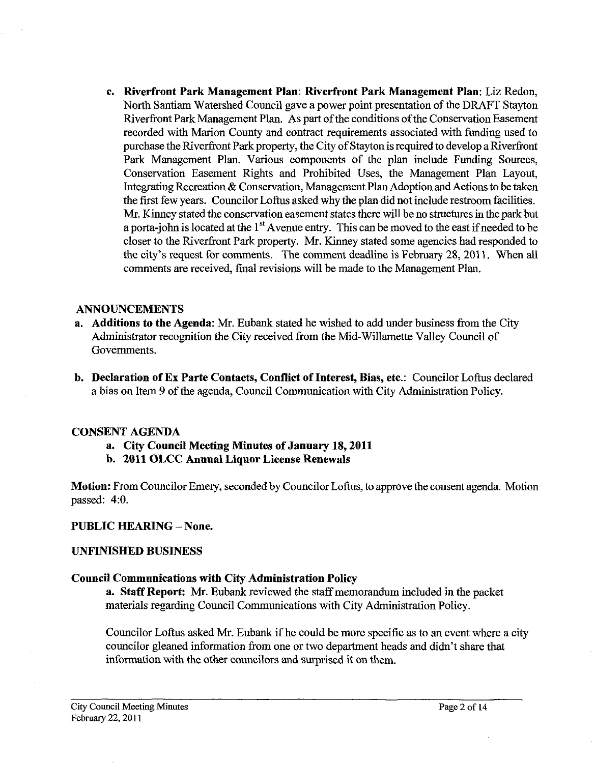**c. Riverfront Park Management Plan: Riverfront Park Management Plan:** Liz Redon, North Santiam Watershed Council gave a power point presentation of the DRAFT Stayton Riverfront Park Management Plan. As part of the conditions of the Conservation Easement recorded with Marion County and contract requirements associated with funding used to purchase the Riverfront Park property, the City of Stayton is required to develop a Riverfront Park Management Plan. Various components of the plan include Funding Sources, Conservation Easement Rights and Prohibited Uses, the Management Plan Layout, Integrating Recreation & Conservation, Management Plan Adoption and Actions to be taken the first few years. Councilor Loftus asked why the plan did not include restroom facilities. Mr. Kinney stated the conservation easement states there will be no structures in the park but a porta-john is located at the  $1<sup>st</sup>$  Avenue entry. This can be moved to the east if needed to be closer to the Riverfront Park property. Mr. Kinney stated some agencies had responded to the city's request for comments. The comment deadline is February 28, 2011. When all comments are received, fmal revisions will be made to the Management Plan.

### **ANNOUNCEMENTS**

- **a. Additions to the Agenda: Mr.** Eubank stated he wished to add under business from the City Administrator recognition the City received from the Mid-Willamette Valley Council of Governments.
- **b. Declaration of Ex Parte Contacts, Conflict of Interest, Bias, etc.:** Councilor Loftus declared a bias on Item 9 of the agenda, Council Communication with City Administration Policy.

### **CONSENT AGENDA**

- **a. City Council Meeting Minutes of January 18,2011**
- **b. 2011 OLCC Annual Liquor License Renewals**

**Motion:** From Councilor Emery, seconded by Councilor Loftus, to approve the consent agenda. Motion passed: 4:O.

### **PUBLIC HEARING** - **None.**

### **UNFINISHED BUSINESS**

### **Council Communications with City Administration Policy**

**a. Staff Report: Mr.** Eubank reviewed the staff memorandum included in the packet materials regarding Council Communications with City Administration Policy.

Councilor Loftus asked Mr. Eubank if he could be more specific as to an event where a city councilor gleaned information from one or two department heads and didn't share that information with the other councilors and surprised it on them.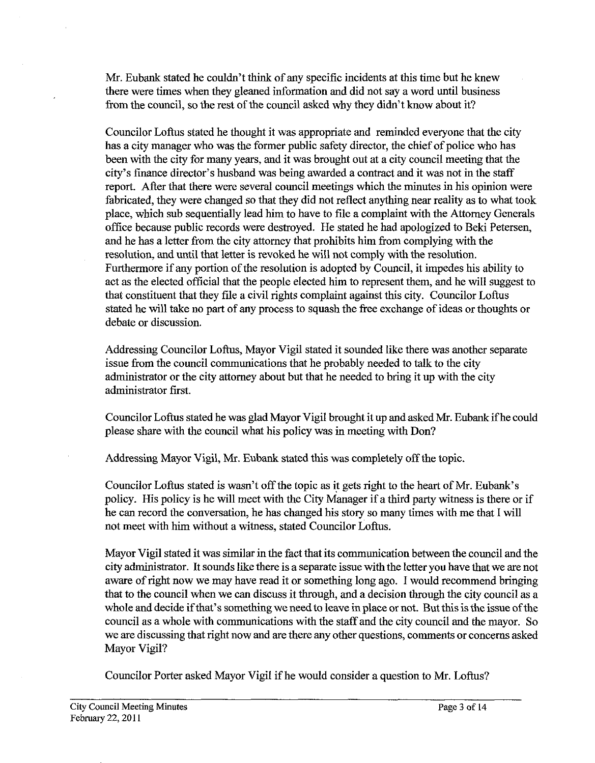Mr. Eubank stated he couldn't think of any specific incidents at this time but he knew there were times when they gleaned information and did not say a word until business from the council, so the rest of the council asked why they didn't know about it?

Councilor Loftus stated he thought it was appropriate and reminded everyone that the city has a city manager who was the former public safety director, the chief of police who has been with the city for many years, and it was brought out at a city council meeting that the city's finance director's husband was being awarded a contract and it was not in the staff report. After that there were several council meetings which the minutes in his opinion were fabricated, they were changed so that they did not reflect anything near reality as to what took place, which sub sequentially lead him to have to file a complaint with the Attorney Generals office because public records were destroyed. He stated he had apologized to Beki Petersen, and he has a letter from the city attorney that prohibits him from complying with the resolution, and until that letter is revoked he will not comply with the resolution. Furthermore if any portion of the resolution is adopted by Council, it impedes his ability to act as the elected official that the people elected him to represent them, and he will suggest to that constituent that they file a civil rights complaint against this city. Councilor Loftus stated he will take no part of any process to squash the free exchange of ideas or thoughts or debate or discussion.

Addressing Councilor Loftus, Mayor Vigil stated it sounded like there was another separate issue from the council communications that he probably needed to talk to the city administrator or the city attorney about but that he needed to bring it up with the city administrator first.

Councilor Loftus stated he was glad Mayor Vigil brought it up and asked Mr. Eubank if he could please share with the council what his policy was in meeting with Don?

Addressing Mayor Vigil, Mr. Eubank stated this was completely off the topic.

Councilor Loftus stated is wasn't off the topic as it gets right to the heart of Mr. Eubank's policy. His policy is he will meet with the City Manager if a third party witness is there or if he can record the conversation, he has changed his story so many times with me that I will not meet with him without a witness, stated Councilor Loftus.

Mayor Vigil stated it was similar in the fact that its communication between the council and the city administrator. It sounds like there is a separate issue with the letter you have that we are not aware of right now we may have read it or something long ago. I would recommend bringing that to the council when we can discuss it through, and a decision through the city council as a whole and decide if that's something we need to leave in place or not. But this is the issue of the council as a whole with communications with the staff and the city council and the mayor. So we are discussing that right now and are there any other questions, comments or concerns asked Mayor Vigil?

Councilor Porter asked Mayor Vigil if he would consider a question to Mr. Loftus?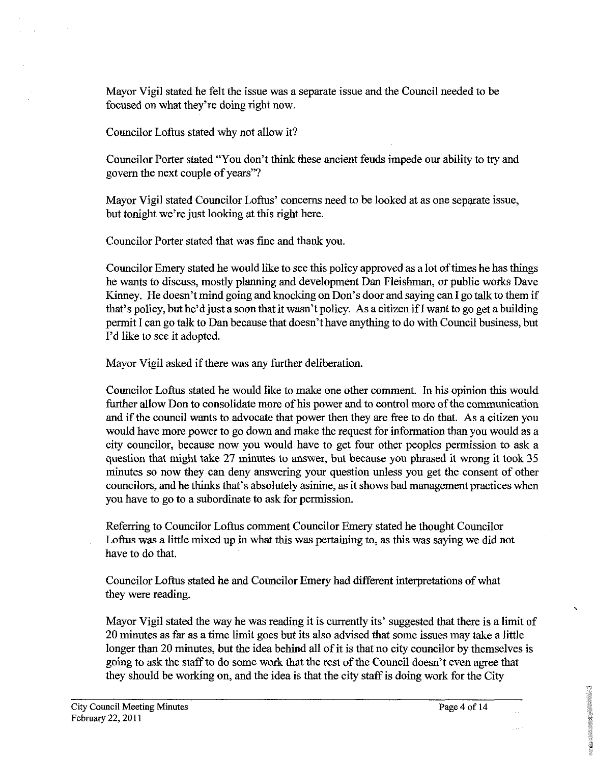Mayor Vigil stated he felt the issue was a separate issue and the Council needed to be focused on what they're doing right now.

Councilor Loftus stated why not allow it?

Councilor Porter stated "You don't think these ancient feuds impede our ability to try and govern the next couple of years"?

Mayor Vigil stated Councilor Loftus' concerns need to be looked at as one separate issue, but tonight we're just looking at this right here.

Councilor Porter stated that was fine and thank you.

Councilor Emery stated he would like to see this policy approved as a lot of times he has things he wants to discuss, mostly planning and development Dan Fleishman, or public works Dave Kinney. He doesn't mind going and knocking on Don's door and saying can I go talk to them if that's policy, but he'd just a soon that it wasn't policy. As a citizen if I want to go get a building permit I can go talk to Dan because that doesn't have anything to do with Council business, but I'd like to see it adopted.

Mayor Vigil asked if there was any further deliberation.

Councilor Loftus stated he would like to make one other comment. In his opinion this would further allow Don to consolidate more of his power and to control more of the communication and if the council wants to advocate that power then they are free to do that. As a citizen you would have more power to go down and make the request for information than you would as a city councilor, because now you would have to get four other peoples permission to ask a question that might take 27 minutes to answer, but because you phrased it wrong it took 35 minutes so now they can deny answering your question unless you get the consent of other councilors, and he thinks that's absolutely asinine, as it shows bad management practices when you have to go to a subordinate to ask for permission.

Referring to Councilor Loftus comment Councilor Emery stated he thought Councilor Loftus was a little mixed up in what this was pertaining to, as this was saying we did not have to do that.

Councilor Loftus stated he and Councilor Emery had different interpretations of what

they were reading.<br>Mayor Vigil stated the way he was reading it is currently its' suggested that there is a limit of 20 minutes as far as a time limit goes but its also advised that some issues may take a little longer than 20 minutes, but the idea behind all of it is that no city councilor by themselves is going to ask the staff to do some work that the rest of the Council doesn't even agree that they should be working on, and the idea is that the city staff is doing work for the City

ine.

**CALL THE WARRANT CONVERSION FOR THE UNITS**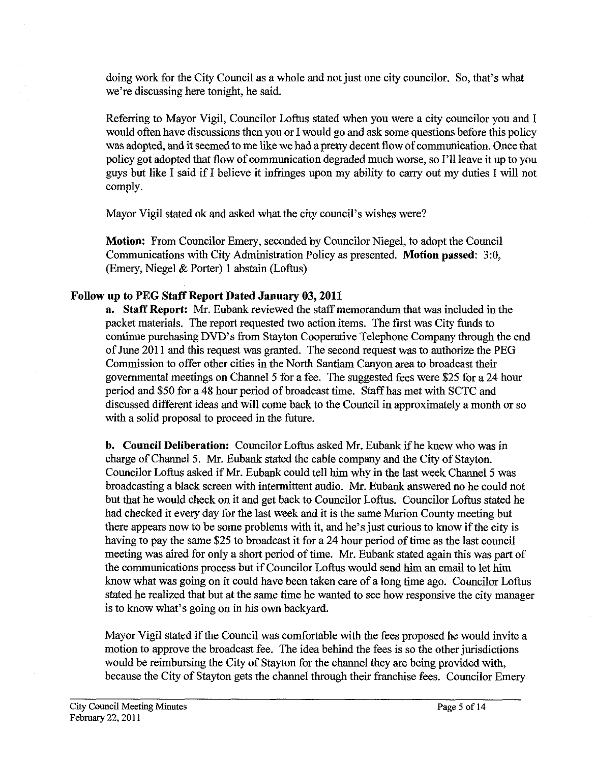doing work for the City Council as a whole and not just one city councilor. So, that's what we're discussing here tonight, he said.

Referring to Mayor Vigil, Councilor Loftus stated when you were a city councilor you and I would often have discussions then you or I would go and ask some questions before this policy was adopted, and it seemed to me like we had a pretty decent flow of communication. Once that policy got adopted that flow of communication degraded much worse, so I'll leave it up to you guys but like I said if I believe it infringes upon my ability to carry out my duties I will not comply.

Mayor Vigil stated ok and asked what the city council's wishes were?

**Motion:** From Councilor Emery, seconded by Councilor Niegel, to adopt the Council Communications with City Administration Policy as presented. **Motion passed:** 3:0, (Emery, Niegel & Porter) 1 abstain (Loftus)

# **Follow up to PEG Staff Report Dated January 03,2011**

**a. Staff Report: Mr.** Eubank reviewed the staff memorandum that was included in the packet materials. The report requested two action items. The first was City funds to continue purchasing DVD's from Stayton Cooperative Telephone Company through the end of June 201 1 and this request was granted. The second request was to authorize the PEG Commission to offer other cities in the North Santiam Canyon area to broadcast their governmental meetings on Channel 5 for a fee. The suggested fees were \$25 for a 24 hour period and \$50 for a 48 hour period of broadcast time. **Staff** has met with SCTC and discussed different ideas and will come back to the Council in approximately a month or so with a solid proposal to proceed in the future.

**b. Council Deliberation:** Councilor Loftus asked Mr. Eubank if he knew who was in charge of Channel 5. Mr. Eubank stated the cable company and the City of Stayton. Councilor Loftus asked if Mr. Eubank could tell him why in the last week Channel 5 was broadcasting a black screen with intermittent audio. Mr. Eubank answered no he could not but that he would check on it and get back to Councilor Loftus. Councilor Loftus stated he had checked it every day for the last week and it is the same Marion County meeting but there appears now to be some problems with it, and he's just curious to know if the city is having to pay the same \$25 to broadcast it for a 24 hour period of time as the last council meeting was aired for only a short period of time. Mr. Eubank stated again this was part of the communications process but if Councilor Loftus would send him an email to let him know what was going on it could have been taken care of a long time ago. Councilor Loftus stated he realized that but at the same time he wanted to see how responsive the city manager is to know what's going on in his own backyard.

Mayor Vigil stated if the Council was comfortable with the fees proposed he would invite a motion to approve the broadcast fee. The idea behind the fees is so the other jurisdictions would be reimbursing the City of Stayton for the channel they are being provided with, because the City of Stayton gets the channel through their franchise fees. Councilor Emery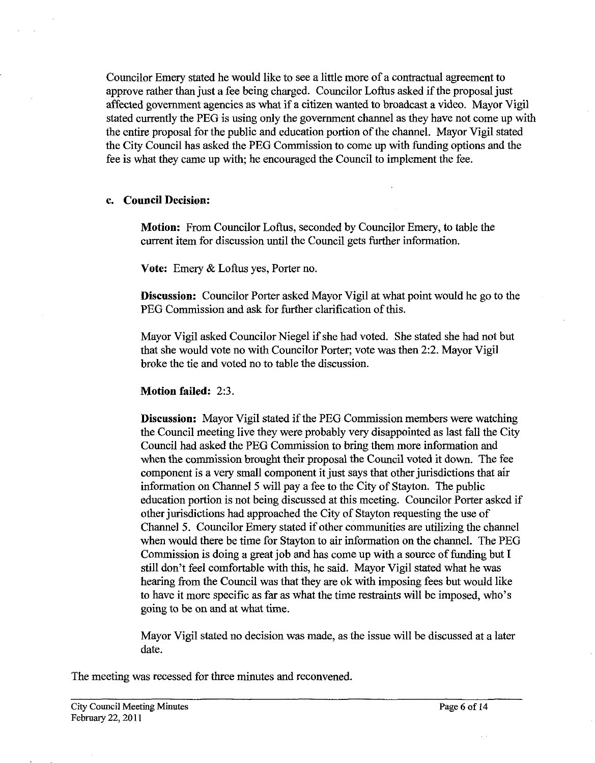Councilor Emery stated he would like to see a little more of a contractual agreement to approve rather than just a fee being charged. Councilor Loftus asked if the proposal just affected government agencies as what if a citizen wanted to broadcast a video. Mayor Vigil stated currently the PEG is using only the government channel as they have not come up with the entire proposal for the public and education portion of the channel. Mayor Vigil stated the City Council has asked the PEG Commission to come up with funding options and the fee is what they came up with, he encouraged the Council to implement the fee.

### **c. Council Decision:**

**Motion:** From Councilor Loftus, seconded by Councilor Emery, to table the current item for discussion until the Council gets further information.

**Vote:** Emery & Loftus yes, Porter no.

**Discussion:** Councilor Porter asked Mayor Vigil at what point would he go to the PEG Commission and ask for further clarification of this.

Mayor Vigil asked Councilor Niegel if she had voted. She stated she had not but that she would vote no with Councilor Porter; vote was then 2:2. Mayor Vigil broke the tie and voted no to table the discussion.

### **Motion failed: 2:3.**

**Discussion:** Mayor Vigil stated if the PEG Commission members were watching the Council meeting live they were probably very disappointed as last fall the city Council had asked the PEG Commission to bring them more information and when the commission brought their proposal the Council voted it down. The fee component is a very small component it just says that other jurisdictions that air information on Channel 5 will pay a fee to the City of Stayton. The public education portion is not being discussed at this meeting. Councilor Porter asked if other jurisdictions had approached the City of Stayton requesting the use of Channel 5. Councilor Emery stated if other communities are utilizing the channel when would there be time for Stayton to air information on the channel. The PEG Commission is doing a great job and has come up with a source of funding but I still don't feel comfortable with this, he said. Mayor Vigil stated what he was hearing fiom the Council was that they are ok with imposing fees but would like to have it more specific as far as what the time restraints will be imposed, who's going to be on and at what time.

Mayor Vigil stated no decision was made, as the issue will be discussed at a later date.

The meeting was recessed for three minutes and reconvened.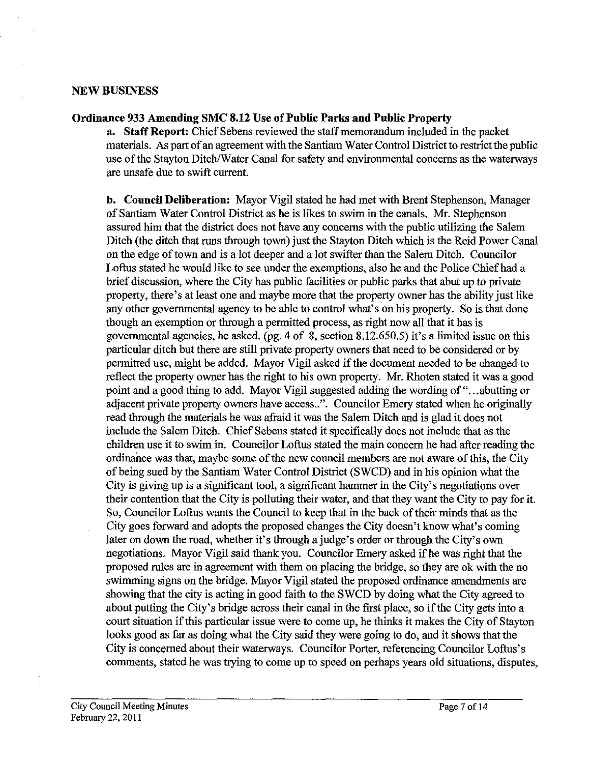#### **NEW BUSINESS**

#### **Ordinance 933 Amending SMC 8.12 Use of Public Parks and Public Property**

**a. Staff Report:** Chief Sebens reviewed the staff memorandum included in the packet materials. As part of an agreement with the Santiam Water Control District to restrict the public use of the Stayton Ditch/Water Canal for safety and environmental concerns as the waterways are unsafe due to swift current.

**b. Council Deliberation:** Mayor Vigil stated he had met with Brent Stephenson, Manager of Santiam Water Control District as he is likes to swim in the canals. Mr. Stephenson assured him that the district does not have any concerns with the public utilizing the Salem Ditch (the ditch that runs through town) just the Stayton Ditch which is the Reid Power Canal on the edge of town and is a lot deeper and a lot swifter than the Salem Ditch. Councilor Loftus stated he would like to see under the exemptions, also he and the Police Chief had a brief discussion, where the City has public facilities or public parks that abut up to private property, there's at least one and maybe more that the property owner has the ability just like any other governmental agency to be able to control what's on his property. So is that done though an exemption or through a permitted process, as right now all that it has is governmental agencies, he asked. (pg. 4 of 8, section 8.12.650.5) it's a limited issue on this particular ditch but there are still private property owners that need to be considered or by permitted use, might be added. Mayor Vigil asked if the document needed to be changed to reflect the property owner has the right to his own property. Mr. Rhoten stated it was a good point and a good thing to add. Mayor Vigil suggested adding the wording of ". . .abutting or adjacent private property owners have access..". Councilor Emery stated when he originally read through the materials he was afraid it was the Salem Ditch and is glad it does not include the Salem Ditch. Chief Sebens stated it specifically does not include that as the children use it to swim in. Councilor Loftus stated the main concern he had after reading the ordinance was that, maybe some of the new council members are not aware of this, the City of being sued by the Santiam Water Control District (SWCD) and in his opinion what the City is giving up is a significant tool, a significant hammer in the City's negotiations over their contention that the City is polluting their water, and that they want the City to pay for it. So, Councilor Loftus wants the Council to keep that in the back of their minds that as the City goes forward and adopts the proposed changes the City doesn't know what's coming later on down the road, whether it's through a judge's order or through the City's own negotiations. Mayor Vigil said thank you. Councilor Emery asked if he was right that the proposed rules are in agreement with them on placing the bridge, so they are ok with the no swimming signs on the bridge. Mayor Vigil stated the proposed ordinance amendments are showing that the city is acting in good faith to the SWCD by doing what the City agreed to about putting the City's bridge across their canal in the first place, so if the City gets into a court situation if this particular issue were to come up, he thinks it makes the City of Stayton looks good as far as doing what the City said they were going to do, and it shows that the City is concerned about their waterways. Councilor Porter, referencing Councilor Loftus's comments, stated he was trying to come up to speed on perhaps years old situations, disputes,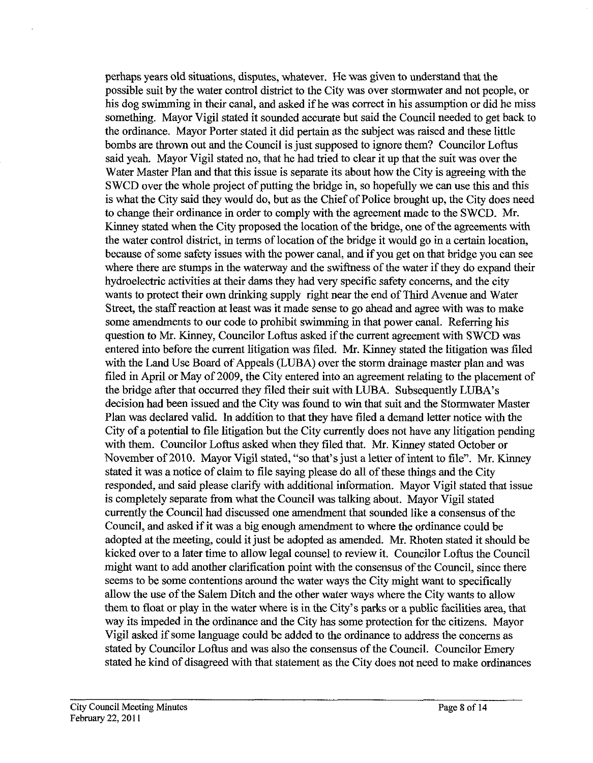perhaps years old situations, disputes, whatever. He was given to understand that the possible suit by the water control district to the City was over stormwater and not people, or his dog swimming in their canal, and asked if he was correct in his assumption or did he miss something. Mayor Vigil stated it sounded accurate but said the Council needed to get back to the ordinance. Mayor Porter stated it did pertain as the subject was raised and these little bombs are thrown out and the Council is just supposed to ignore them? Councilor Loftus said yeah. Mayor Vigil stated no, that he had tried to clear it up that the suit was over the Water Master Plan and that this issue is separate its about how the City is agreeing with the SWCD over the whole project of putting the bridge in, so hopefully we can use this and this is what the City said they would do, but as the Chief of Police brought up, the City does need to change their ordinance in order to comply with the agreement made to the SWCD. Mr. Kinney stated when the City proposed the location of the bridge, one of the agreements with the water control district, in terms of location of the bridge it would go in a certain location, because of some safety issues with the power canal, and if you get on that bridge you can see where there are stumps in the waterway and the swiftness of the water if they do expand their hydroelectric activities at their dams they had very specific safety concerns, and the city wants to protect their own drinking supply right near the end of Third Avenue and Water Street, the staff reaction at least was it made sense to go ahead and agree with was to make some amendments to our code to prohibit swimming in that power canal. Referring his question to Mr. Kinney, Councilor Loftus asked if the current agreement with SWCD was entered into before the current litigation was filed. Mr. Kinney stated the litigation was filed with the Land Use Board of Appeals (LUBA) over the storm drainage master plan and was filed in April or May of 2009, the City entered into an agreement relating to the placement of the bridge after that occurred they filed their suit with LUBA. Subsequently LUBA's decision had been issued and the City was found to win that suit and the Stormwater Master Plan was declared valid. In addition to that they have filed a demand letter notice with the City of a potential to file litigation but the City currently does not have any litigation pending with them. Councilor Loftus asked when they filed that. Mr. Kinney stated October or November of 2010. Mayor Vigil stated, "so that's just a letter of intent to file". Mr. Kinney stated it was a notice of claim to file saying please do all of these things and the City responded, and said please clarify with additional information. Mayor Vigil stated that issue is completely separate from what the Council was talking about. Mayor Vigil stated currently the Council had discussed one amendment that sounded like a consensus of the Council, and asked if it was a big enough amendment to where the ordinance could be adopted at the meeting, could it just be adopted as amended. Mr. Rhoten stated it should be kicked over to a later time to allow legal counsel to review it. Councilor Loftus the Council might want to add another clarification point with the consensus of the Council, since there seems to be some contentions around the water ways the City might want to specifically allow the use of the Salem Ditch and the other water ways where the City wants to allow them to float or play in the water where is in the City's parks or a public facilities area, that way its impeded in the ordinance and the City has some protection for the citizens. Mayor Vigil asked if some language could be added to the ordinance to address the concerns as stated by Councilor Loftus and was also the consensus of the Council. Councilor Emery stated he kind of disagreed with that statement as the City does not need to make ordinances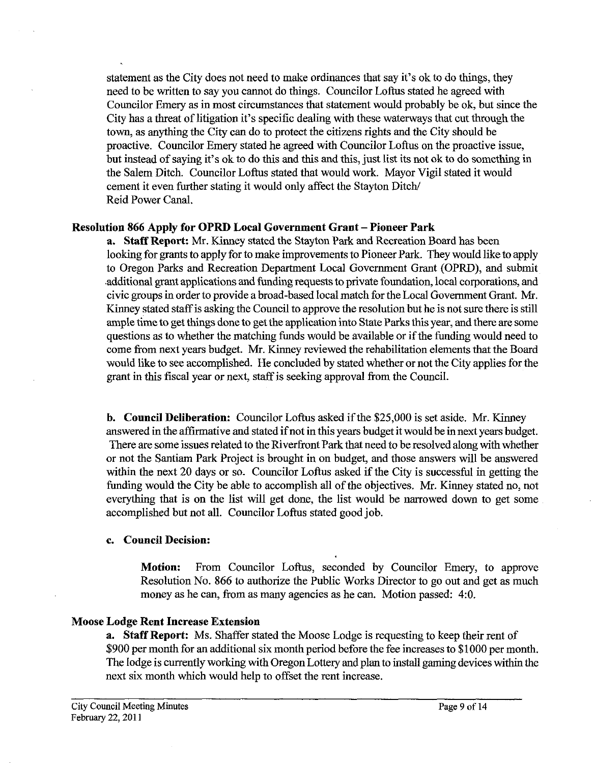statement as the City does not need to make ordinances that say it's ok to do things, they need to be written to say you cannot do things. Councilor Loftus stated he agreed with Councilor Emery as in most circumstances that statement would probably be ok, but since the City has a threat of litigation it's specific dealing with these waterways that cut through the town, as anything the City can do to protect the citizens rights and the City should be proactive. Councilor Emery stated he agreed with Councilor Loftus on the proactive issue, but instead of saying it's ok to do this and this and this, just list its not ok to do something in the Salem Ditch. Councilor Loftus stated that would work. Mayor Vigil stated it would cement it even further stating it would only affect the Stayton Ditch/ Reid Power Canal.

### **Resolution 866 Apply for OPRD Local Government Grant - Pioneer Park**

**a. Staff Report:** Mr. Kinney stated the Stayton Park and Recreation Board has been looking for grants to apply for to make improvements to Pioneer Park. They would like to apply to Oregon Parks and Recreation Department Local Government Grant (OPRD), and submit .additional grant applications and funding requests to private foundation, local corporations, and civic groups in order to provide a broad-based local match for the Local Government Grant. Mr. Kinney stated staff is asking the Council to approve the resolution but he is not sure there is still ample time to get things done to get the application into State Parks this year, and there are some questions as to whether the matching funds would be available or if the funding would need to come from next years budget. Mr. Kinney reviewed the rehabilitation elements that the Board would like to see accomplished. He concluded by stated whether or not the City applies for the grant in this fiscal year or next, staff is seeking approval from the Council.

**b. Council Deliberation:** Councilor Loftus asked if the \$25,000 is set aside. Mr. Kinney answered in the affirmative and stated if not in this years budget it would be in next years budget. There are some issues related to the Riverfront Park that need to be resolved along with whether or not the Santiam Park Project is brought in on budget, and those answers will be answered within the next 20 days or so. Councilor Loftus asked if the City is successful in getting the funding would the City be able to accomplish all of the objectives. Mr. Kinney stated no, not everything that is on the list will get done, the list would be narrowed down to get some accomplished but not all. Councilor Loftus stated good job.

# **c. Council Decision:**

**Motion:** From Councilor Loftus, seconded by Councilor Emery, to approve Resolution No. 866 to authorize the Public Works Director to go out and get as much money as he can, from as many agencies as he can. Motion passed: 4:0.

# **Moose Lodge Rent Increase Extension**

**a. Staff Report:** Ms. Shaffer stated the Moose Lodge is requesting to keep their rent of \$900 per month for an additional six month period before the fee increases to \$1000 per month. The lodge is currently working with Oregon Lottery and plan to install gaming devices within the next six month which would help to offset the rent increase.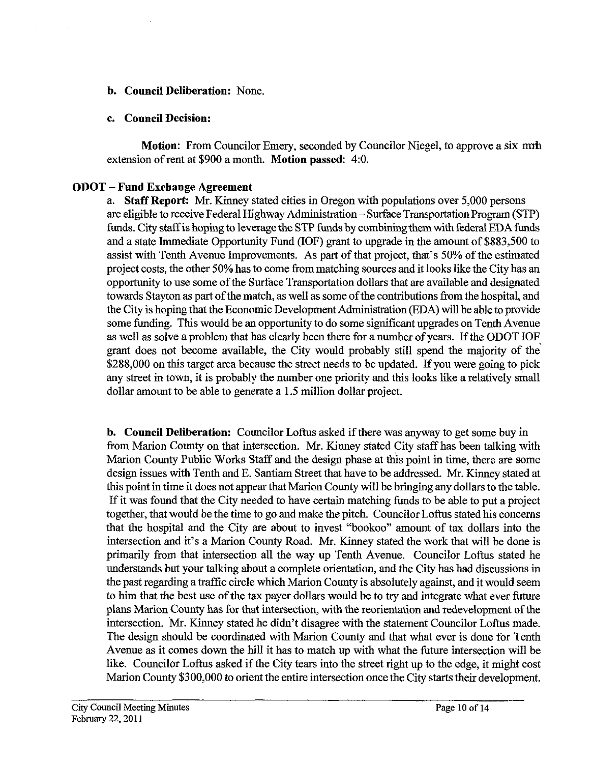### **b. Council Deliberation:** None.

### **c. Council Decision:**

**Motion:** From Councilor Emery, seconded by Councilor Niegel, to approve a six mnh extension of rent at \$900 a month. **Motion passed:** 4:O.

# **OPOT** - **Fund Exchange Agreement**

a. **Staff Report:** Mr. Kinney stated cities in Oregon with populations over 5,000 persons are eligible to receive Federal Highway Administration - Surface Transportation Program (STP) funds. City staff is hoping to leverage the STP funds by combining them with federal EDA funds and a state Immediate Opportunity Fund (IOF) grant to upgrade in the amount of \$883,500 to assist with Tenth Avenue Improvements. As part of that project, that's 50% of the estimated project costs, the other 50% has to come from matching sources and it looks like the City has an opportunity to use some of the Surface Transportation dollars that are available and designated towards Stayton as part of the match, as well as some of the contributions from the hospital, and the City is hoping that the Economic Development Administration (EDA) will be able to provide some funding. This would be an opportunity to do some significant upgrades on Tenth Avenue as well as solve a problem that has clearly been there for a number of years. If the ODOT IOF grant does not become available, the City would probably still spend the majority of the \$288,000 on this target area because the street needs to be updated. If you were going to pick any street in town, it is probably the number one priority and this looks like a relatively small dollar amount to be able to generate a 1.5 million dollar project.

**b. Council Deliberation:** Councilor Loftus asked if there was anyway to get some buy in from Marion County on that intersection. Mr. Kinney stated City staff has been talking with Marion County Public Works Staff and the design phase at this point in time, there are some design issues with Tenth and E. Santiam Street that have to be addressed. Mr. Kinney stated at this point in time it does not appear that Marion County will be bringing any dollars to the table. If it was found that the City needed to have certain matching funds to be able to put a project together, that would be the time to go and make the pitch. Councilor Loftus stated his concerns that the hospital and the City are about to invest "bookoo" amount of tax dollars into the intersection and it's a Marion County Road. Mr. Kinney stated the work that will be done is primarily from that intersection all the way up Tenth Avenue. Councilor Loftus stated he understands but your talking about a complete orientation, and the City has had discussions in the past regarding atraffic circle which Marion County is absolutely against, and it would seem to him that the best use of the tax payer dollars would be to try and integrate what ever future plans Marion County has for that intersection, with the reorientation and redevelopment of the intersection. Mr. Kinney stated he didn't disagree with the statement Councilor Loftus made. The design should be coordinated with Marion County and that what ever is done for Tenth Avenue as it comes down the hill it has to match up with what the future intersection will be like. Councilor Loftus asked if the City tears into the street right up to the edge, it might cost Marion County \$300,000 to orient the entire intersection once the City starts their development.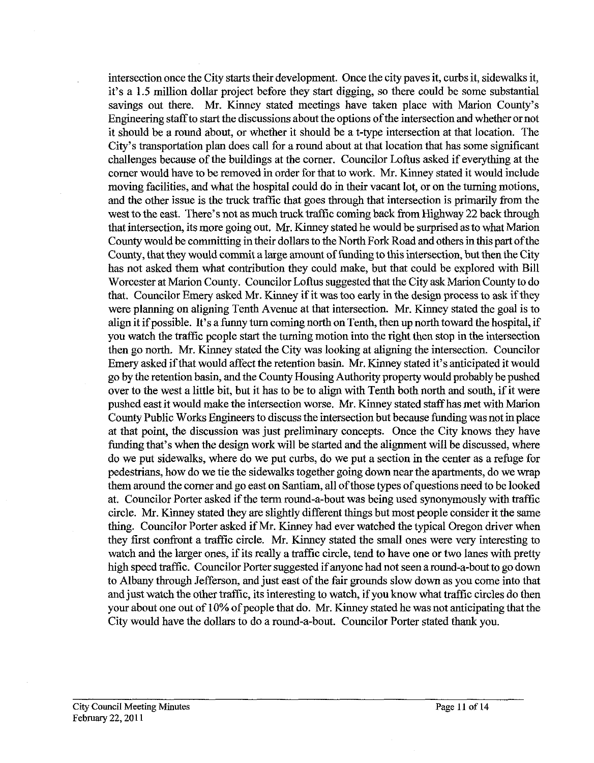intersection once the City starts their development. Once the city paves it, curbs it, sidewalks it, it's a 1.5 million dollar project before they start digging, so there could be some substantial savings out there. Mr. Kinney stated meetings have taken place with Marion County's Engineering staff to start the discussions about the options of the intersection and whether or not it should be a round about, or whether it should be a t-type intersection at that location. The City's transportation plan does call for a round about at that location that has some significant challenges because of the buildings at the comer. Councilor Loftus asked if everything at the comer would have to be removed in order for that to work. Mr. Kinney stated it would include moving facilities, and what the hospital could do in their vacant lot, or on the turning motions, and the other issue is the truck traffic that goes through that intersection is primarily from the west to the east. There's not as much truck traffic coming back from Highway 22 back through that intersection, its more going out. Mr. Kinney stated he would be surprised as to what Marion County would be committing in their dollars to the North Fork Road and others in this part of the County, that they would commit a large amount of funding to this intersection, but then the City has not asked them what contribution they could make, but that could be explored with Bill Worcester at Marion County. Councilor Loftus suggested that the City ask Marion County to do that. Councilor Emery asked Mr. Kinney if it was too early in the design process to ask if they were planning on aligning Tenth Avenue at that intersection. Mr. Kinney stated the goal is to align it if possible. It's a funny turn coming north on Tenth, then up north toward the hospital, if you watch the traffic people start the turning motion into the right then stop in the intersection then go north. Mr. Kinney stated the City was looking at aligning the intersection. Councilor Emery asked if that would affect the retention basin. Mr. Kinney stated it's anticipated it would go by the retention basin, and the County Housing Authority property would probably be pushed over to the west a little bit, but it has to be to align with Tenth both north and south, if it were pushed east it would make the intersection worse. Mr. Kinney stated staffhas met with Marion County Public Works Engineers to discuss the intersection but because funding was not in place at that point, the discussion was just preliminary concepts. Once the City knows they have funding that's when the design work will be started and the alignment will be discussed, where do we put sidewalks, where do we put curbs, do we put a section in the center as a refnge for pedestrians, how do we tie the sidewalks together going down near the apartments, do we wrap them around the corner and go east on Santiam, all of those types of questions need to be looked at. Councilor Porter asked if the term round-a-bout was being used synonymously with traffic circle. Mr. Kinney stated they are slightly different things but most people consider it the same thing. Councilor Porter asked if Mr. Kinney had ever watched the typical Oregon driver when they first confront a traffic circle. Mr. Kinney stated the small ones were very interesting to watch and the larger ones, if its really a traffic circle, tend to have one or two lanes with pretty high speed traffic. Councilor Porter suggested if anyone had not seen around-a-bout to go down to Albany through Jefferson, and just east of the fair grounds slow down as you come into that and just watch the other traffic, its interesting to watch, if you know what traffic circles do then your about one out of 10% of people that do. Mr. Kinney stated he was not anticipating that the City would have the dollars to do a round-a-bout. Councilor Porter stated thank you.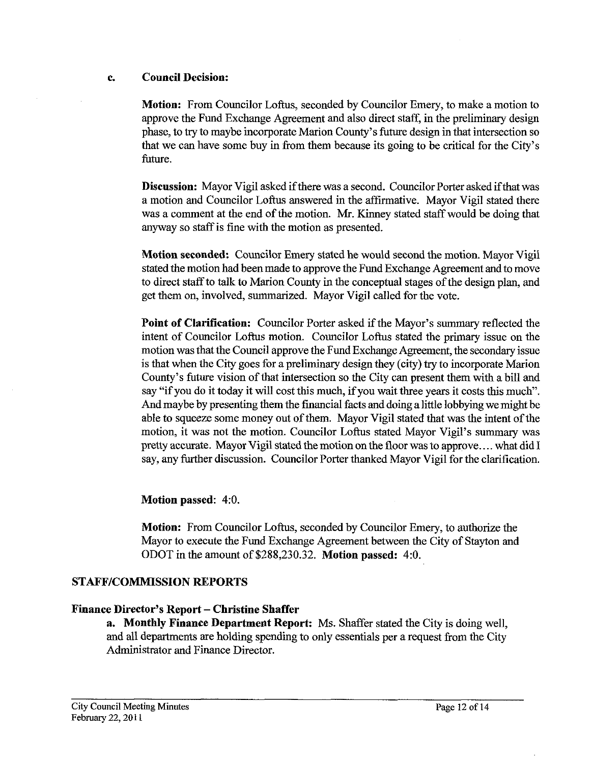### **c. Council Decision:**

**Motion:** From Councilor Loftus, seconded by Councilor Emery, to make a motion to approve the Fund Exchange Agreement and also direct staff, in the preliminary design phase, to try to maybe incorporate Marion County's future design in that intersection so that we can have some buy in from them because its going to be critical for the City's future.

**Discussion:** Mayor Vigil asked if there was a second. Councilor Porter asked ifthat was a motion and Councilor Loftus answered in the affirmative. Mayor Vigil stated there was a comment at the end of the motion. Mr. Kinney stated staff would be doing that anyway so staff is fine with the motion as presented.

**Motion seconded:** Councilor Emery stated he would second the motion. Mayor Vigil stated the motion had been made to approve the Fund Exchange Agreement and to move to direct staff to talk to Marion County in the conceptual stages of the design plan, and get them on, involved, summarized. Mayor Vigil called for the vote.

**Point of Clarification:** Councilor Porter asked if the Mayor's summary reflected the intent of Councilor Loftus motion. Councilor Loftus stated the primary issue on the motion was that the Council approve the Fund Exchange Agreement, the secondary issue is that when the City goes for a preliminary design they (city) try to incorporate Marion County's future vision of that intersection so the City can present them with a bill and say "if you do it today it will cost this much, if you wait three years it costs this much". And maybe by presenting them the financial facts and doing alittle lobbying we might be able to squeeze some money out of them. Mayor Vigil stated that was the intent of the motion, it was not the motion. Councilor Loftus stated Mayor Vigil's summary was pretty accurate. Mayor Vigil stated the motion on the floor was to approve.... what did I say, any further discussion. Councilor Porter thanked Mayor Vigil for the clarification.

# **Motion passed:** 4:O.

**Motion:** From Councilor Loftus, seconded by Councilor Emery, to authorize the Mayor to execute the Fund Exchange Agreement between the City of Stayton and ODOT in the amount of **\$288,230.32. Motion passed:** 4:O.

# **STAFF/COMMISSION REPORTS**

# **Finance Director's Report** - **Christine Shaffer**

**a. Monthly Finance Department Report:** Ms. Shaffer stated the City is doing well, and all departments are holding spending to only essentials per a request from the City Administrator and Finance Director.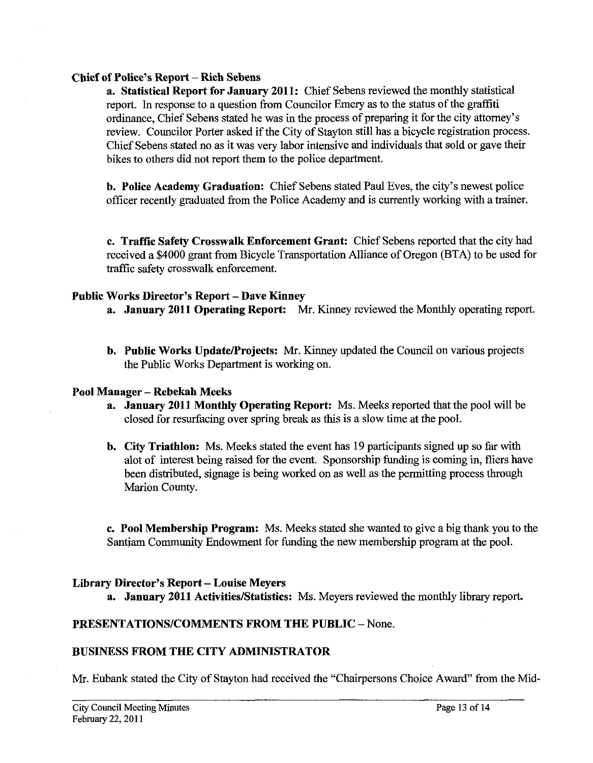### **Chief of Police's Report -Rich Sebens**

**a. Statistical Report for January 2011:** Chief Sebens reviewed the monthly statistical report. In response to a question from Councilor Emery as to the status of the graffiti ordinance, Chief Sebens stated he was in the process of preparing it for the city attorney's review. Councilor Porter asked if the City of Stayton still has a bicycle registration process. Chief Sebens stated no as it was very labor intensive and individuals that sold or gave their bikes to others did not report them to the police department.

**b. Police Academy Graduation:** Chief Sebens stated Paul Eves, the city's newest police officer recently graduated from the Police Academy and is currently working with a trainer.

**c. Traffic Safety Crosswalk Enforcement Grant:** Chief Sebens reported that the city had received a \$4000 grant from Bicycle Transportation Alliance of Oregon (BTA) to be used for traffic safety crosswalk enforcement.

### **Public Works Director's Report** - **Dave Kinney**

- **a. January 2011 Operating Report:** Mr. Kinney reviewed the Monthly operating report.
- **b. Public Works Update/Projects:** Mr. Kinney updated the Council on various projects the Public Works Department is working on.

### **Pool Manager** - **Rebekah Mecks**

- **a. January 2011 Monthly Operating Report:** Ms. Meeks reported that the pool will be closed for resurfacing over spring break as this is a slow time at the pool.
- **b. City Triathlon:** Ms. Meeks stated the event has 19 participants signed up so far with alot of interest being raised for the event. Sponsorship funding is coming in, fliers have been distributed, signage is being worked on **as** well as the permitting process through Marion County.

**c. Pool Membership Program:** Ms. Meeks stated she wanted to give a big thank you to the Santiam Community Endowment for funding the new membership program at the pool.

### **Library Director's Report** - **Louise Meyers**

**a.** January 2011 Activities/Statistics: Ms. Meyers reviewed the monthly library report.

### **PRESENTATIONSICOMMENTS FROM THE PUBLIC** - None.

### **BUSINESS FROM THE CITY ADMINISTRATOR**

Mr. Eubank stated the City of Stayton had received the "Chairpersons Choice Award" from the Mid-